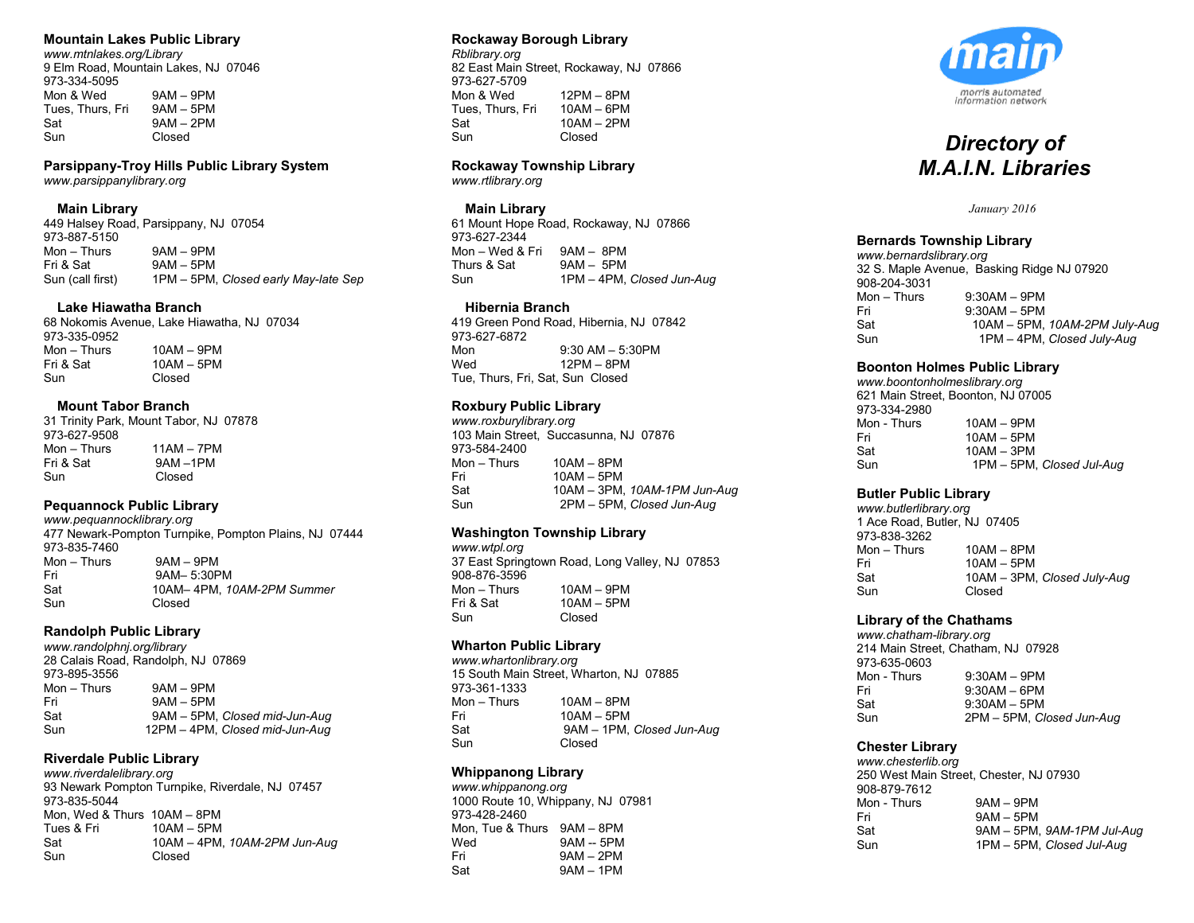# **Mountain Lakes Public Library**

*www.mtnlakes.org/Library* 9 Elm Road, Mountain Lakes, NJ 07046 973-334-5095<br>Mon & Wed  $9AM - 9PM$ <br> $9AM - 5PM$ Tues, Thurs, Fri Sat 9AM – 2PM Sun Closed

**Parsippany-Troy Hills Public Library System** *www.parsippanylibrary.org*

#### **Main Library**

449 Halsey Road, Parsippany, NJ 07054 973-887-5150<br>Mon - Thurs Mon – Thurs 9AM – 9PM<br>Fri & Sat 9AM – 5PM  $9AM - 5PM$ Sun (call first) 1PM – 5PM, *Closed early May-late Sep*

#### **Lake Hiawatha Branch**

68 Nokomis Avenue, Lake Hiawatha, NJ 07034 973-335-0952 Mon – Thurs 10AM – 9PM<br>Fri & Sat 10AM – 5PM Fri & Sat 10AM – 5PM<br>Sun Closed Closed

#### **Mount Tabor Branch**

31 Trinity Park, Mount Tabor, NJ 07878 973-627-9508<br>Mon – Thurs Mon – Thurs 11AM – 7PM<br>Fri & Sat 9AM – 1PM  $9AM -1PM$ Sun Closed

#### **Pequannock Public Library**

*www.pequannocklibrary.org* 477 Newark-Pompton Turnpike, Pompton Plains, NJ 07444 973-835-7460 Mon – Thurs 9AM – 9PM Fri 9AM– 5:30PM<br>Sat 10AM– 4PM–1 Sat 10AM– 4PM, *10AM-2PM Summer* Sun Closed

#### **Randolph Public Library**

*www.randolphnj.org/library* 28 Calais Road, Randolph, NJ 07869 973-895-3556  $Mon - Thus$   $9AM - 9PM$ Fri 9AM – 5PM Sat 9AM – 5PM, *Closed mid-Jun-Aug* Sun 12PM – 4PM, *Closed mid-Jun-Aug*

# **Riverdale Public Library**

*www.riverdalelibrary.org* 93 Newark Pompton Turnpike, Riverdale, NJ 07457 973-835-5044 Mon, Wed & Thurs 10AM – 8PM Tues & Fri 10AM – 5PM Sat 10AM – 4PM, *10AM-2PM Jun-Aug* Closed

# **Rockaway Borough Library**

*Rblibrary.org* 82 East Main Street, Rockaway, NJ 07866 973-627-5709<br>Mon & Wed 12PM – 8PM<br>10AM – 6PM Tues, Thurs, Fri Sat 10AM – 2PM Sun Closed

#### **Rockaway Township Library**

*www.rtlibrary.org*

# **Main Library**

61 Mount Hope Road, Rockaway, NJ 07866 973-627-2344 Mon – Wed & Fri 9AM – 8PM<br>Thurs & Sat 9AM – 5PM  $9AM - 5PM$ Sun 1PM – 4PM, *Closed Jun-Aug*

## **Hibernia Branch**

419 Green Pond Road, Hibernia, NJ 07842 973-627-6872 Mon 9:30 AM – 5:30 PM<br>Wed 12 PM – 8 PM  $12PM - 8PM$ Tue, Thurs, Fri, Sat, Sun Closed

# **Roxbury Public Library**

*www.roxburylibrary.org* 103 Main Street, Succasunna, NJ 07876 973-584-2400<br>Mon - Thurs  $10AM -$  8PM Fri 10AM – 5PM Sat 10AM – 3PM, *10AM-1PM Jun-Aug* Sun 2PM – 5PM, *Closed Jun-Aug*

# **Washington Township Library**

*www.wtpl.org* 37 East Springtown Road, Long Valley, NJ 07853 908-876-3596<br>Mon – Thurs  $10AM - 9PM$ Fri & Sat 10AM – 5PM Sun Closed

#### **Wharton Public Library**

*www.whartonlibrary.org* 15 South Main Street, Wharton, NJ 07885 973-361-1333 Mon – Thurs 10AM – 8PM Fri 10AM – 5PM Sat 9AM – 1PM, *Closed Jun-Aug* Sun Closed

#### **Whippanong Library**

*www.whippanong.org* 1000 Route 10, Whippany, NJ 07981 973-428-2460 Mon, Tue & Thurs 9AM – 8PM Wed 9AM -- 5PM<br>Fri 9AM -- 2PM  $9AM - 2PM$ Sat 9AM – 1PM



# *Directory of M.A.I.N. Libraries*

*January 2016*

## **Bernards Township Library**

*www.bernardslibrary.org* 32 S. Maple Avenue, Basking Ridge NJ 07920 908-204-3031<br>Mon - Thurs  $9:30AM - 9PM$ Fri 9:30AM – 5PM Sat 10AM – 5PM, *10AM-2PM July-Aug* Sun 1PM – 4PM, *Closed July-Aug*

#### **Boonton Holmes Public Library**

*www.boontonholmeslibrary.org* 621 Main Street, Boonton, NJ 07005 973-334-2980<br>Mon - Thurs  $10AM - 9PM$ Fri 10AM – 5PM Sat 10AM – 3PM Sun 1PM – 5PM, *Closed Jul-Aug*

#### **Butler Public Library**

*www.butlerlibrary.org* 1 Ace Road, Butler, NJ 07405 973-838-3262 Mon – Thurs 10AM – 8PM Fri 10AM – 5PM Sat 10AM – 3PM, *Closed July-Aug* Sun Closed

#### **Library of the Chathams**

*www.chatham-library.org*  214 Main Street, Chatham, NJ 07928 973-635-0603<br>Mon - Thurs Mon - Thurs 9:30AM – 9PM<br>Fri 9:30AM – 6PM  $9:30AM - 6PM$ Sat 9:30AM – 5PM<br>Sun 2PM – 5PM C Sun 2PM – 5PM, *Closed Jun-Aug*

# **Chester Library**

*www.chesterlib.org*  250 West Main Street, Chester, NJ 07930 908-879-7612 Mon - Thurs 9AM – 9PM Fri 9AM – 5PM Sat 9AM – 5PM, *9AM-1PM Jul-Aug* Sun 1PM – 5PM, *Closed Jul-Aug*